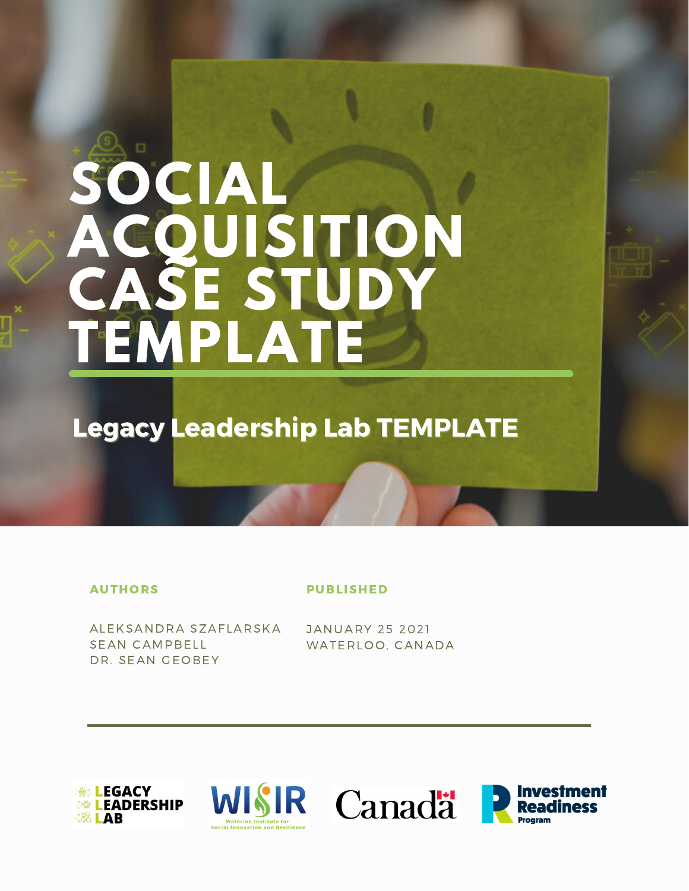# **SOCIAL ACQUISITION CASE STUDY TEMPLATE**

## Legacy Leadership Lab TEMPLATE

#### AUTHORS

#### PUBLISHED

ALEKSANDRA SZAFLARSKA **SEAN CAMPBELL** DR. SEAN GEOBEY

JANUARY 25 2021 WATERLOO, CANADA







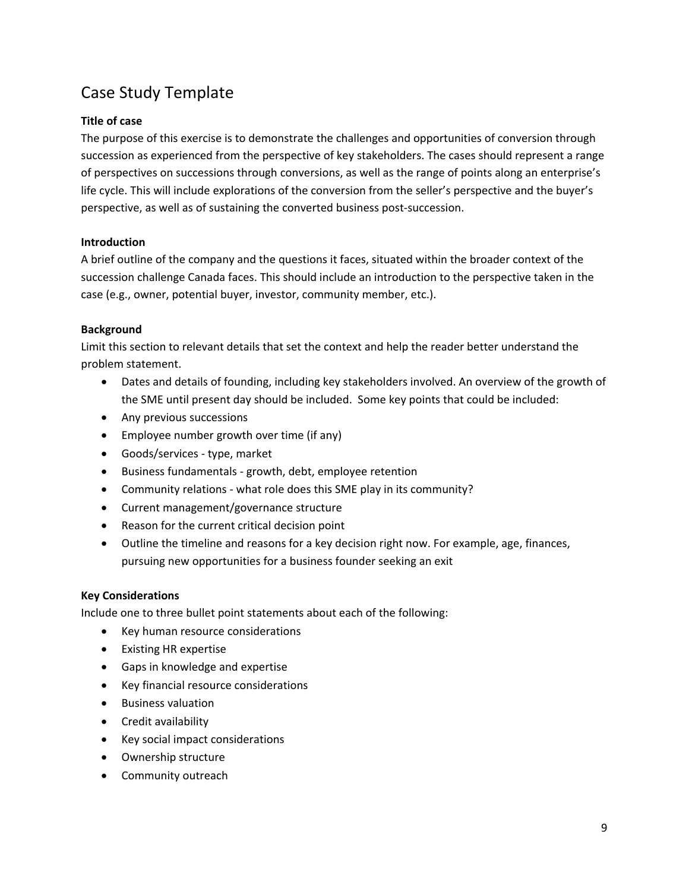### Case Study Template

#### **Title of case**

The purpose of this exercise is to demonstrate the challenges and opportunities of conversion through succession as experienced from the perspective of key stakeholders. The cases should represent a range of perspectives on successions through conversions, as well as the range of points along an enterprise's life cycle. This will include explorations of the conversion from the seller's perspective and the buyer's perspective, as well as of sustaining the converted business post‐succession.

#### **Introduction**

A brief outline of the company and the questions it faces, situated within the broader context of the succession challenge Canada faces. This should include an introduction to the perspective taken in the case (e.g., owner, potential buyer, investor, community member, etc.).

#### **Background**

Limit this section to relevant details that set the context and help the reader better understand the problem statement.

- Dates and details of founding, including key stakeholders involved. An overview of the growth of the SME until present day should be included. Some key points that could be included:
- Any previous successions
- Employee number growth over time (if any)
- Goods/services ‐ type, market
- Business fundamentals growth, debt, employee retention
- Community relations ‐ what role does this SME play in its community?
- Current management/governance structure
- Reason for the current critical decision point
- Outline the timeline and reasons for a key decision right now. For example, age, finances, pursuing new opportunities for a business founder seeking an exit

#### **Key Considerations**

Include one to three bullet point statements about each of the following:

- Key human resource considerations
- Existing HR expertise
- Gaps in knowledge and expertise
- Key financial resource considerations
- **•** Business valuation
- Credit availability
- Key social impact considerations
- Ownership structure
- Community outreach